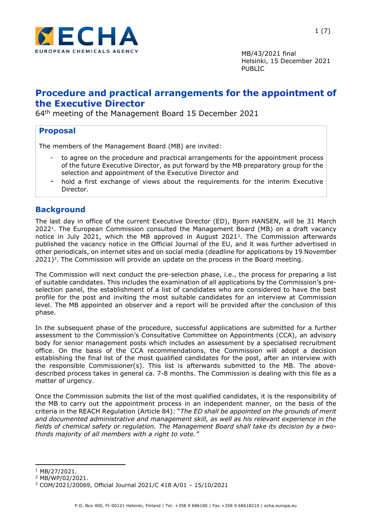

# **Procedure and practical arrangements for the appointment of the Executive Director**

64th meeting of the Management Board 15 December 2021

# **Proposal**

The members of the Management Board (MB) are invited:

- to agree on the procedure and practical arrangements for the appointment process of the future Executive Director, as put forward by the MB preparatory group for the selection and appointment of the Executive Director and
- hold a first exchange of views about the requirements for the interim Executive Director.

# **Background**

The last day in office of the current Executive Director (ED), Bjorn HANSEN, will be 31 March 2022<sup>1</sup> . The European Commission consulted the Management Board (MB) on a draft vacancy notice in July 2021, which the MB approved in August 2021<sup>2</sup> . The Commission afterwards published the vacancy notice in the Official Journal of the EU, and it was further advertised in other periodicals, on internet sites and on social media (deadline for applications by 19 November 2021) 3 . The Commission will provide an update on the process in the Board meeting.

The Commission will next conduct the pre-selection phase, i.e., the process for preparing a list of suitable candidates. This includes the examination of all applications by the Commission's preselection panel, the establishment of a list of candidates who are considered to have the best profile for the post and inviting the most suitable candidates for an interview at Commission level. The MB appointed an observer and a report will be provided after the conclusion of this phase.

In the subsequent phase of the procedure, successful applications are submitted for a further assessment to the Commission's Consultative Committee on Appointments (CCA), an advisory body for senior management posts which includes an assessment by a specialised recruitment office. On the basis of the CCA recommendations, the Commission will adopt a decision establishing the final list of the most qualified candidates for the post, after an interview with the responsible Commissioner(s). This list is afterwards submitted to the MB. The abovedescribed process takes in general ca. 7-8 months. The Commission is dealing with this file as a matter of urgency.

Once the Commission submits the list of the most qualified candidates, it is the responsibility of the MB to carry out the appointment process in an independent manner, on the basis of the criteria in the REACH Regulation (Article 84): "*The ED shall be appointed on the grounds of merit and documented administrative and management skill, as well as his relevant experience in the fields of chemical safety or regulation. The Management Board shall take its decision by a twothirds majority of all members with a right to vote."* 

<sup>1</sup> MB/27/2021.

<sup>2</sup> MB/WP/02/2021.

<sup>3</sup> COM/2021/20069, Official Journal 2021/C 418 A/01 – 15/10/2021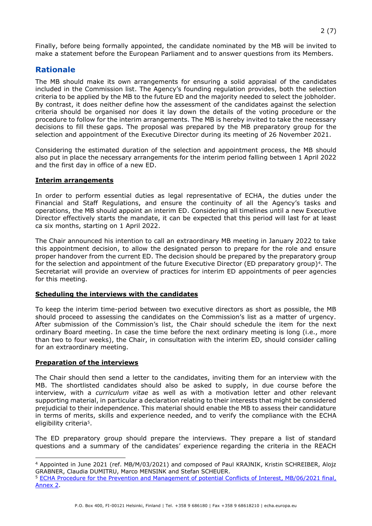Finally, before being formally appointed, the candidate nominated by the MB will be invited to make a statement before the European Parliament and to answer questions from its Members.

### **Rationale**

The MB should make its own arrangements for ensuring a solid appraisal of the candidates included in the Commission list. The Agency's founding regulation provides, both the selection criteria to be applied by the MB to the future ED and the majority needed to select the jobholder. By contrast, it does neither define how the assessment of the candidates against the selection criteria should be organised nor does it lay down the details of the voting procedure or the procedure to follow for the interim arrangements. The MB is hereby invited to take the necessary decisions to fill these gaps. The proposal was prepared by the MB preparatory group for the selection and appointment of the Executive Director during its meeting of 26 November 2021.

Considering the estimated duration of the selection and appointment process, the MB should also put in place the necessary arrangements for the interim period falling between 1 April 2022 and the first day in office of a new ED.

### **Interim arrangements**

In order to perform essential duties as legal representative of ECHA, the duties under the Financial and Staff Regulations, and ensure the continuity of all the Agency's tasks and operations, the MB should appoint an interim ED. Considering all timelines until a new Executive Director effectively starts the mandate, it can be expected that this period will last for at least ca six months, starting on 1 April 2022.

The Chair announced his intention to call an extraordinary MB meeting in January 2022 to take this appointment decision, to allow the designated person to prepare for the role and ensure proper handover from the current ED. The decision should be prepared by the preparatory group for the selection and appointment of the future Executive Director (ED preparatory group)<sup>4</sup>. The Secretariat will provide an overview of practices for interim ED appointments of peer agencies for this meeting.

### **Scheduling the interviews with the candidates**

To keep the interim time-period between two executive directors as short as possible, the MB should proceed to assessing the candidates on the Commission's list as a matter of urgency. After submission of the Commission's list, the Chair should schedule the item for the next ordinary Board meeting. In case the time before the next ordinary meeting is long (i.e., more than two to four weeks), the Chair, in consultation with the interim ED, should consider calling for an extraordinary meeting.

#### **Preparation of the interviews**

The Chair should then send a letter to the candidates, inviting them for an interview with the MB. The shortlisted candidates should also be asked to supply, in due course before the interview, with a *curriculum vitae* as well as with a motivation letter and other relevant supporting material, in particular a declaration relating to their interests that might be considered prejudicial to their independence. This material should enable the MB to assess their candidature in terms of merits, skills and experience needed, and to verify the compliance with the ECHA eligibility criteria<sup>5</sup>.

The ED preparatory group should prepare the interviews. They prepare a list of standard questions and a summary of the candidates' experience regarding the criteria in the REACH

<sup>4</sup> Appointed in June 2021 (ref. MB/M/03/2021) and composed of Paul KRAJNIK, Kristin SCHREIBER, Alojz GRABNER, Claudia DUMITRU, Marco MENSINK and Stefan SCHEUER.

<sup>5</sup> [ECHA Procedure for the Prevention and Management of potential Conflicts of Interest, MB/06/2021 final,](https://echa.europa.eu/documents/10162/17208/pro_0067_coi_management_en.pdf/c4082b12-5830-4647-abf7-47c4a0879c86)  [Annex 2.](https://echa.europa.eu/documents/10162/17208/pro_0067_coi_management_en.pdf/c4082b12-5830-4647-abf7-47c4a0879c86)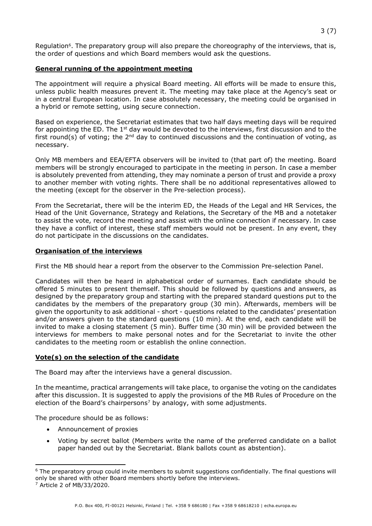### **General running of the appointment meeting**

The appointment will require a physical Board meeting. All efforts will be made to ensure this, unless public health measures prevent it. The meeting may take place at the Agency's seat or in a central European location. In case absolutely necessary, the meeting could be organised in a hybrid or remote setting, using secure connection.

Based on experience, the Secretariat estimates that two half days meeting days will be required for appointing the ED. The 1<sup>st</sup> day would be devoted to the interviews, first discussion and to the first round(s) of voting; the  $2^{nd}$  day to continued discussions and the continuation of voting, as necessary.

Only MB members and EEA/EFTA observers will be invited to (that part of) the meeting. Board members will be strongly encouraged to participate in the meeting in person. In case a member is absolutely prevented from attending, they may nominate a person of trust and provide a proxy to another member with voting rights. There shall be no additional representatives allowed to the meeting (except for the observer in the Pre-selection process).

From the Secretariat, there will be the interim ED, the Heads of the Legal and HR Services, the Head of the Unit Governance, Strategy and Relations, the Secretary of the MB and a notetaker to assist the vote, record the meeting and assist with the online connection if necessary. In case they have a conflict of interest, these staff members would not be present. In any event, they do not participate in the discussions on the candidates.

### **Organisation of the interviews**

First the MB should hear a report from the observer to the Commission Pre-selection Panel.

Candidates will then be heard in alphabetical order of surnames. Each candidate should be offered 5 minutes to present themself. This should be followed by questions and answers, as designed by the preparatory group and starting with the prepared standard questions put to the candidates by the members of the preparatory group (30 min). Afterwards, members will be given the opportunity to ask additional - short - questions related to the candidates' presentation and/or answers given to the standard questions (10 min). At the end, each candidate will be invited to make a closing statement (5 min). Buffer time (30 min) will be provided between the interviews for members to make personal notes and for the Secretariat to invite the other candidates to the meeting room or establish the online connection.

#### **Vote(s) on the selection of the candidate**

The Board may after the interviews have a general discussion.

In the meantime, practical arrangements will take place, to organise the voting on the candidates after this discussion. It is suggested to apply the provisions of the MB Rules of Procedure on the election of the Board's chairpersons7 by analogy, with some adjustments.

The procedure should be as follows:

- Announcement of proxies
- Voting by secret ballot (Members write the name of the preferred candidate on a ballot paper handed out by the Secretariat. Blank ballots count as abstention).

<sup>6</sup> The preparatory group could invite members to submit suggestions confidentially. The final questions will only be shared with other Board members shortly before the interviews.

<sup>7</sup> Article 2 of MB/33/2020.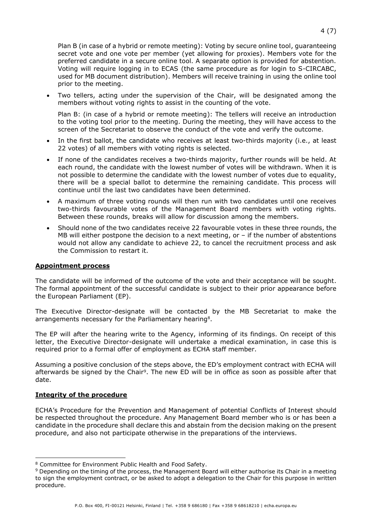• Two tellers, acting under the supervision of the Chair, will be designated among the members without voting rights to assist in the counting of the vote.

Plan B: (in case of a hybrid or remote meeting): The tellers will receive an introduction to the voting tool prior to the meeting. During the meeting, they will have access to the screen of the Secretariat to observe the conduct of the vote and verify the outcome.

- In the first ballot, the candidate who receives at least two-thirds majority (i.e., at least 22 votes) of all members with voting rights is selected.
- If none of the candidates receives a two-thirds majority, further rounds will be held. At each round, the candidate with the lowest number of votes will be withdrawn. When it is not possible to determine the candidate with the lowest number of votes due to equality, there will be a special ballot to determine the remaining candidate. This process will continue until the last two candidates have been determined.
- A maximum of three voting rounds will then run with two candidates until one receives two-thirds favourable votes of the Management Board members with voting rights. Between these rounds, breaks will allow for discussion among the members.
- Should none of the two candidates receive 22 favourable votes in these three rounds, the MB will either postpone the decision to a next meeting, or  $-$  if the number of abstentions would not allow any candidate to achieve 22, to cancel the recruitment process and ask the Commission to restart it.

#### **Appointment process**

The candidate will be informed of the outcome of the vote and their acceptance will be sought. The formal appointment of the successful candidate is subject to their prior appearance before the European Parliament (EP).

The Executive Director-designate will be contacted by the MB Secretariat to make the arrangements necessary for the Parliamentary hearing<sup>8</sup>.

The EP will after the hearing write to the Agency, informing of its findings. On receipt of this letter, the Executive Director-designate will undertake a medical examination, in case this is required prior to a formal offer of employment as ECHA staff member.

Assuming a positive conclusion of the steps above, the ED's employment contract with ECHA will afterwards be signed by the Chair<sup>9</sup>. The new ED will be in office as soon as possible after that date.

#### **Integrity of the procedure**

ECHA's Procedure for the Prevention and Management of potential Conflicts of Interest should be respected throughout the procedure. Any Management Board member who is or has been a candidate in the procedure shall declare this and abstain from the decision making on the present procedure, and also not participate otherwise in the preparations of the interviews.

<sup>8</sup> Committee for Environment Public Health and Food Safety.

<sup>9</sup> Depending on the timing of the process, the Management Board will either authorise its Chair in a meeting to sign the employment contract, or be asked to adopt a delegation to the Chair for this purpose in written procedure.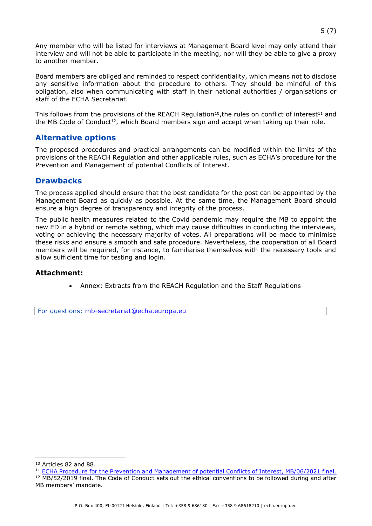Any member who will be listed for interviews at Management Board level may only attend their interview and will not be able to participate in the meeting, nor will they be able to give a proxy to another member.

Board members are obliged and reminded to respect confidentiality, which means not to disclose any sensitive information about the procedure to others. They should be mindful of this obligation, also when communicating with staff in their national authorities / organisations or staff of the ECHA Secretariat.

This follows from the provisions of the REACH Regulation<sup>10</sup>,the rules on conflict of interest<sup>11</sup> and the MB Code of Conduct<sup>12</sup>, which Board members sign and accept when taking up their role.

### **Alternative options**

The proposed procedures and practical arrangements can be modified within the limits of the provisions of the REACH Regulation and other applicable rules, such as ECHA's procedure for the Prevention and Management of potential Conflicts of Interest.

### **Drawbacks**

The process applied should ensure that the best candidate for the post can be appointed by the Management Board as quickly as possible. At the same time, the Management Board should ensure a high degree of transparency and integrity of the process.

The public health measures related to the Covid pandemic may require the MB to appoint the new ED in a hybrid or remote setting, which may cause difficulties in conducting the interviews, voting or achieving the necessary majority of votes. All preparations will be made to minimise these risks and ensure a smooth and safe procedure. Nevertheless, the cooperation of all Board members will be required, for instance, to familiarise themselves with the necessary tools and allow sufficient time for testing and login.

### **Attachment:**

• Annex: Extracts from the REACH Regulation and the Staff Regulations

For questions: [mb-secretariat@echa.europa.eu](mailto:mb-secretariat@echa.europa.eu)

<sup>10</sup> Articles 82 and 88.

<sup>11</sup> [ECHA Procedure for the Prevention and Management of potential Conflicts of Interest, MB/06/2021 final.](https://echa.europa.eu/documents/10162/17208/pro_0067_coi_management_en.pdf/c4082b12-5830-4647-abf7-47c4a0879c86)

<sup>&</sup>lt;sup>12</sup> MB/52/2019 final. The Code of Conduct sets out the ethical conventions to be followed during and after MB members' mandate.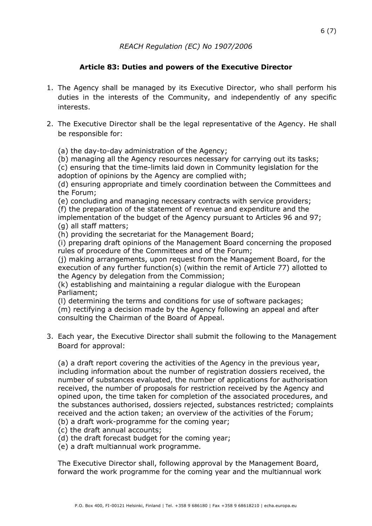# **Article 83: Duties and powers of the Executive Director**

- 1. The Agency shall be managed by its Executive Director, who shall perform his duties in the interests of the Community, and independently of any specific interests.
- 2. The Executive Director shall be the legal representative of the Agency. He shall be responsible for:
	- (a) the day-to-day administration of the Agency;

(b) managing all the Agency resources necessary for carrying out its tasks; (c) ensuring that the time-limits laid down in Community legislation for the adoption of opinions by the Agency are complied with;

(d) ensuring appropriate and timely coordination between the Committees and the Forum;

(e) concluding and managing necessary contracts with service providers;

(f) the preparation of the statement of revenue and expenditure and the

implementation of the budget of the Agency pursuant to Articles 96 and 97; (g) all staff matters;

(h) providing the secretariat for the Management Board;

(i) preparing draft opinions of the Management Board concerning the proposed rules of procedure of the Committees and of the Forum;

(j) making arrangements, upon request from the Management Board, for the execution of any further function(s) (within the remit of Article 77) allotted to the Agency by delegation from the Commission;

(k) establishing and maintaining a regular dialogue with the European Parliament;

(l) determining the terms and conditions for use of software packages;

(m) rectifying a decision made by the Agency following an appeal and after consulting the Chairman of the Board of Appeal.

3. Each year, the Executive Director shall submit the following to the Management Board for approval:

(a) a draft report covering the activities of the Agency in the previous year, including information about the number of registration dossiers received, the number of substances evaluated, the number of applications for authorisation received, the number of proposals for restriction received by the Agency and opined upon, the time taken for completion of the associated procedures, and the substances authorised, dossiers rejected, substances restricted; complaints received and the action taken; an overview of the activities of the Forum; (b) a draft work-programme for the coming year;

- (c) the draft annual accounts;
- (d) the draft forecast budget for the coming year;
- (e) a draft multiannual work programme.

The Executive Director shall, following approval by the Management Board, forward the work programme for the coming year and the multiannual work